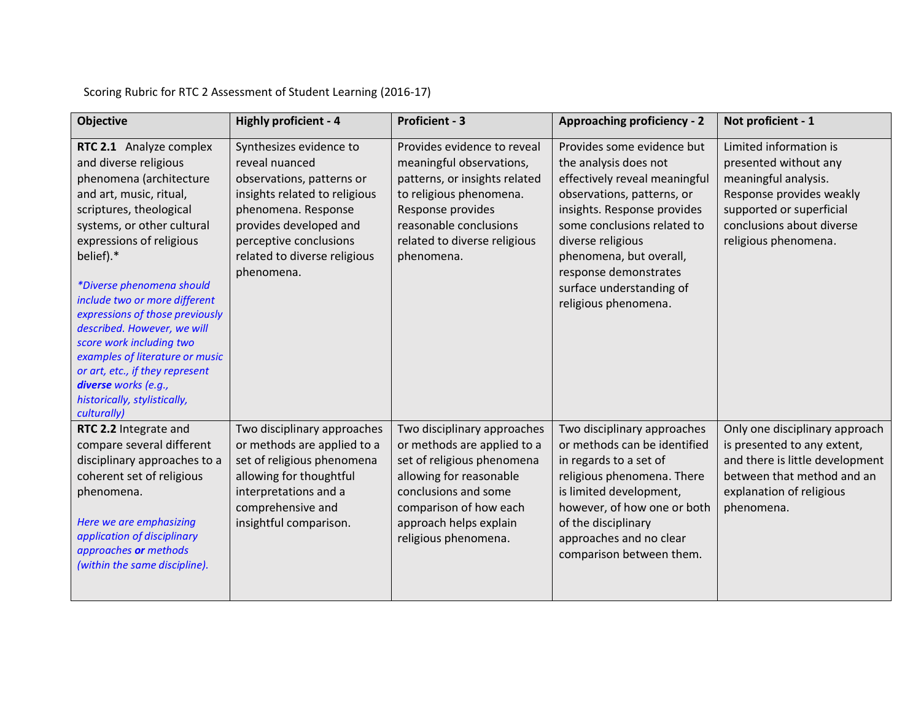| Objective                                                                                                                                                                                                                                                                                                                                                                                                                                                                                                         | <b>Highly proficient - 4</b>                                                                                                                                                                                                     | <b>Proficient - 3</b>                                                                                                                                                                                                   | <b>Approaching proficiency - 2</b>                                                                                                                                                                                                                                                                            | Not proficient - 1                                                                                                                                                                   |
|-------------------------------------------------------------------------------------------------------------------------------------------------------------------------------------------------------------------------------------------------------------------------------------------------------------------------------------------------------------------------------------------------------------------------------------------------------------------------------------------------------------------|----------------------------------------------------------------------------------------------------------------------------------------------------------------------------------------------------------------------------------|-------------------------------------------------------------------------------------------------------------------------------------------------------------------------------------------------------------------------|---------------------------------------------------------------------------------------------------------------------------------------------------------------------------------------------------------------------------------------------------------------------------------------------------------------|--------------------------------------------------------------------------------------------------------------------------------------------------------------------------------------|
| RTC 2.1 Analyze complex<br>and diverse religious<br>phenomena (architecture<br>and art, music, ritual,<br>scriptures, theological<br>systems, or other cultural<br>expressions of religious<br>belief).*<br>*Diverse phenomena should<br>include two or more different<br>expressions of those previously<br>described. However, we will<br>score work including two<br>examples of literature or music<br>or art, etc., if they represent<br>diverse works (e.g.,<br>historically, stylistically,<br>culturally) | Synthesizes evidence to<br>reveal nuanced<br>observations, patterns or<br>insights related to religious<br>phenomena. Response<br>provides developed and<br>perceptive conclusions<br>related to diverse religious<br>phenomena. | Provides evidence to reveal<br>meaningful observations,<br>patterns, or insights related<br>to religious phenomena.<br>Response provides<br>reasonable conclusions<br>related to diverse religious<br>phenomena.        | Provides some evidence but<br>the analysis does not<br>effectively reveal meaningful<br>observations, patterns, or<br>insights. Response provides<br>some conclusions related to<br>diverse religious<br>phenomena, but overall,<br>response demonstrates<br>surface understanding of<br>religious phenomena. | Limited information is<br>presented without any<br>meaningful analysis.<br>Response provides weakly<br>supported or superficial<br>conclusions about diverse<br>religious phenomena. |
| RTC 2.2 Integrate and<br>compare several different<br>disciplinary approaches to a<br>coherent set of religious<br>phenomena.<br>Here we are emphasizing<br>application of disciplinary<br>approaches or methods<br>(within the same discipline).                                                                                                                                                                                                                                                                 | Two disciplinary approaches<br>or methods are applied to a<br>set of religious phenomena<br>allowing for thoughtful<br>interpretations and a<br>comprehensive and<br>insightful comparison.                                      | Two disciplinary approaches<br>or methods are applied to a<br>set of religious phenomena<br>allowing for reasonable<br>conclusions and some<br>comparison of how each<br>approach helps explain<br>religious phenomena. | Two disciplinary approaches<br>or methods can be identified<br>in regards to a set of<br>religious phenomena. There<br>is limited development,<br>however, of how one or both<br>of the disciplinary<br>approaches and no clear<br>comparison between them.                                                   | Only one disciplinary approach<br>is presented to any extent,<br>and there is little development<br>between that method and an<br>explanation of religious<br>phenomena.             |

Scoring Rubric for RTC 2 Assessment of Student Learning (2016-17)